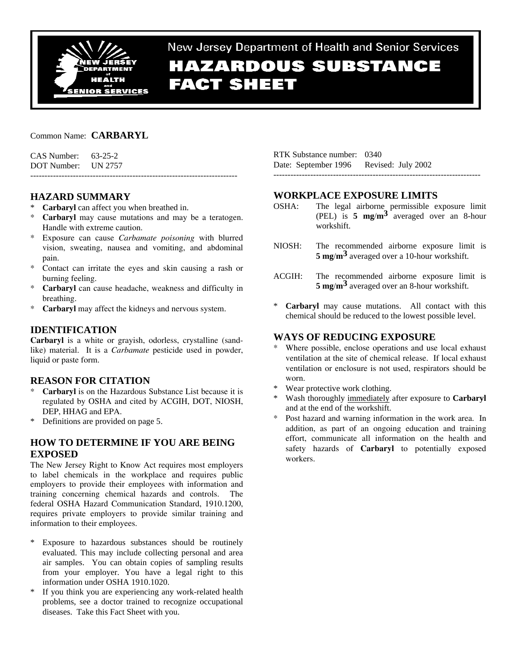

# New Jersey Department of Health and Senior Services **HAZARDOUS SUBSTANCE FACT SHEET**

## Common Name: **CARBARYL**

| $CAS$ Number: $63-25-2$ |  |
|-------------------------|--|
| DOT Number: UN 2757     |  |
|                         |  |

## **HAZARD SUMMARY**

- \* **Carbaryl** can affect you when breathed in.
- \* **Carbaryl** may cause mutations and may be a teratogen. Handle with extreme caution.
- \* Exposure can cause *Carbamate poisoning* with blurred vision, sweating, nausea and vomiting, and abdominal pain.
- \* Contact can irritate the eyes and skin causing a rash or burning feeling.
- \* **Carbaryl** can cause headache, weakness and difficulty in breathing.
- \* **Carbaryl** may affect the kidneys and nervous system.

# **IDENTIFICATION**

**Carbaryl** is a white or grayish, odorless, crystalline (sandlike) material. It is a *Carbamate* pesticide used in powder, liquid or paste form.

## **REASON FOR CITATION**

- \* **Carbaryl** is on the Hazardous Substance List because it is regulated by OSHA and cited by ACGIH, DOT, NIOSH, DEP, HHAG and EPA.
- \* Definitions are provided on page 5.

## **HOW TO DETERMINE IF YOU ARE BEING EXPOSED**

The New Jersey Right to Know Act requires most employers to label chemicals in the workplace and requires public employers to provide their employees with information and training concerning chemical hazards and controls. The federal OSHA Hazard Communication Standard, 1910.1200, requires private employers to provide similar training and information to their employees.

- \* Exposure to hazardous substances should be routinely evaluated. This may include collecting personal and area air samples. You can obtain copies of sampling results from your employer. You have a legal right to this information under OSHA 1910.1020.
- \* If you think you are experiencing any work-related health problems, see a doctor trained to recognize occupational diseases. Take this Fact Sheet with you.

RTK Substance number: 0340 Date: September 1996 Revised: July 2002 -------------------------------------------------------------------------

# **WORKPLACE EXPOSURE LIMITS**

- OSHA: The legal airborne permissible exposure limit (PEL) is **5 mg**/**m3** averaged over an 8-hour workshift.
- NIOSH: The recommended airborne exposure limit is **5 mg**/**m3** averaged over a 10-hour workshift.
- ACGIH: The recommended airborne exposure limit is **5 mg**/**m3** averaged over an 8-hour workshift.
- \* **Carbaryl** may cause mutations. All contact with this chemical should be reduced to the lowest possible level.

# **WAYS OF REDUCING EXPOSURE**

- Where possible, enclose operations and use local exhaust ventilation at the site of chemical release. If local exhaust ventilation or enclosure is not used, respirators should be worn.
- \* Wear protective work clothing.
- Wash thoroughly immediately after exposure to **Carbaryl** and at the end of the workshift.
- Post hazard and warning information in the work area. In addition, as part of an ongoing education and training effort, communicate all information on the health and safety hazards of **Carbaryl** to potentially exposed workers.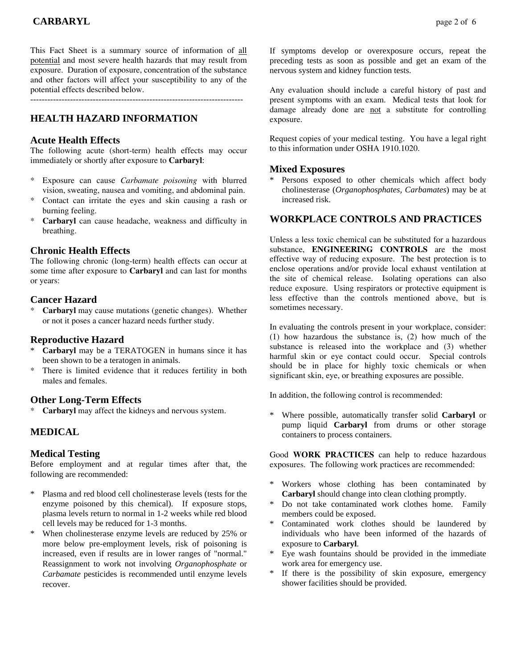This Fact Sheet is a summary source of information of all potential and most severe health hazards that may result from exposure. Duration of exposure, concentration of the substance and other factors will affect your susceptibility to any of the potential effects described below.

---------------------------------------------------------------------------

# **HEALTH HAZARD INFORMATION**

#### **Acute Health Effects**

The following acute (short-term) health effects may occur immediately or shortly after exposure to **Carbaryl**:

- \* Exposure can cause *Carbamate poisoning* with blurred vision, sweating, nausea and vomiting, and abdominal pain.
- \* Contact can irritate the eyes and skin causing a rash or burning feeling.
- Carbaryl can cause headache, weakness and difficulty in breathing.

#### **Chronic Health Effects**

The following chronic (long-term) health effects can occur at some time after exposure to **Carbaryl** and can last for months or years:

## **Cancer Hazard**

\* **Carbaryl** may cause mutations (genetic changes). Whether or not it poses a cancer hazard needs further study.

#### **Reproductive Hazard**

- Carbaryl may be a TERATOGEN in humans since it has been shown to be a teratogen in animals.
- There is limited evidence that it reduces fertility in both males and females.

## **Other Long-Term Effects**

Carbaryl may affect the kidneys and nervous system.

## **MEDICAL**

#### **Medical Testing**

Before employment and at regular times after that, the following are recommended:

- Plasma and red blood cell cholinesterase levels (tests for the enzyme poisoned by this chemical). If exposure stops, plasma levels return to normal in 1-2 weeks while red blood cell levels may be reduced for 1-3 months.
- When cholinesterase enzyme levels are reduced by 25% or more below pre-employment levels, risk of poisoning is increased, even if results are in lower ranges of "normal." Reassignment to work not involving *Organophosphate* or *Carbamate* pesticides is recommended until enzyme levels recover.

If symptoms develop or overexposure occurs, repeat the preceding tests as soon as possible and get an exam of the nervous system and kidney function tests.

Any evaluation should include a careful history of past and present symptoms with an exam. Medical tests that look for damage already done are not a substitute for controlling exposure.

Request copies of your medical testing. You have a legal right to this information under OSHA 1910.1020.

#### **Mixed Exposures**

\* Persons exposed to other chemicals which affect body cholinesterase (*Organophosphates, Carbamates*) may be at increased risk.

## **WORKPLACE CONTROLS AND PRACTICES**

Unless a less toxic chemical can be substituted for a hazardous substance, **ENGINEERING CONTROLS** are the most effective way of reducing exposure. The best protection is to enclose operations and/or provide local exhaust ventilation at the site of chemical release. Isolating operations can also reduce exposure. Using respirators or protective equipment is less effective than the controls mentioned above, but is sometimes necessary.

In evaluating the controls present in your workplace, consider: (1) how hazardous the substance is, (2) how much of the substance is released into the workplace and (3) whether harmful skin or eye contact could occur. Special controls should be in place for highly toxic chemicals or when significant skin, eye, or breathing exposures are possible.

In addition, the following control is recommended:

\* Where possible, automatically transfer solid **Carbaryl** or pump liquid **Carbaryl** from drums or other storage containers to process containers.

Good **WORK PRACTICES** can help to reduce hazardous exposures. The following work practices are recommended:

- \* Workers whose clothing has been contaminated by **Carbaryl** should change into clean clothing promptly.
- Do not take contaminated work clothes home. Family members could be exposed.
- Contaminated work clothes should be laundered by individuals who have been informed of the hazards of exposure to **Carbaryl**.
- Eye wash fountains should be provided in the immediate work area for emergency use.
- If there is the possibility of skin exposure, emergency shower facilities should be provided.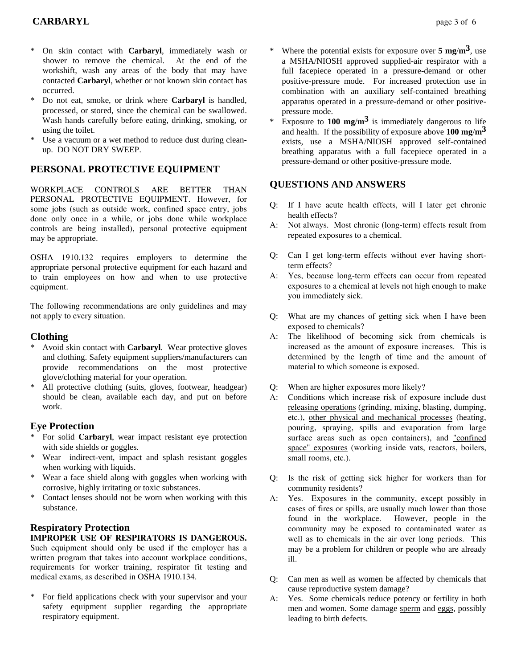# **CARBARYL** page 3 of 6

- On skin contact with **Carbaryl**, immediately wash or shower to remove the chemical. At the end of the workshift, wash any areas of the body that may have contacted **Carbaryl**, whether or not known skin contact has occurred.
- \* Do not eat, smoke, or drink where **Carbaryl** is handled, processed, or stored, since the chemical can be swallowed. Wash hands carefully before eating, drinking, smoking, or using the toilet.
- Use a vacuum or a wet method to reduce dust during cleanup. DO NOT DRY SWEEP.

## **PERSONAL PROTECTIVE EQUIPMENT**

WORKPLACE CONTROLS ARE BETTER THAN PERSONAL PROTECTIVE EQUIPMENT. However, for some jobs (such as outside work, confined space entry, jobs done only once in a while, or jobs done while workplace controls are being installed), personal protective equipment may be appropriate.

OSHA 1910.132 requires employers to determine the appropriate personal protective equipment for each hazard and to train employees on how and when to use protective equipment.

The following recommendations are only guidelines and may not apply to every situation.

#### **Clothing**

- Avoid skin contact with **Carbaryl**. Wear protective gloves and clothing. Safety equipment suppliers/manufacturers can provide recommendations on the most protective glove/clothing material for your operation.
- All protective clothing (suits, gloves, footwear, headgear) should be clean, available each day, and put on before work.

#### **Eye Protection**

- For solid **Carbaryl**, wear impact resistant eye protection with side shields or goggles.
- \* Wear indirect-vent, impact and splash resistant goggles when working with liquids.
- \* Wear a face shield along with goggles when working with corrosive, highly irritating or toxic substances.
- Contact lenses should not be worn when working with this substance.

## **Respiratory Protection**

## **IMPROPER USE OF RESPIRATORS IS DANGEROUS.**

Such equipment should only be used if the employer has a written program that takes into account workplace conditions, requirements for worker training, respirator fit testing and medical exams, as described in OSHA 1910.134.

For field applications check with your supervisor and your safety equipment supplier regarding the appropriate respiratory equipment.

- \* Where the potential exists for exposure over **5 mg**/**m3**, use a MSHA/NIOSH approved supplied-air respirator with a full facepiece operated in a pressure-demand or other positive-pressure mode. For increased protection use in combination with an auxiliary self-contained breathing apparatus operated in a pressure-demand or other positivepressure mode.
- Exposure to  $100 \text{ mg/m}^3$  is immediately dangerous to life and health. If the possibility of exposure above **100 mg**/**m3** exists, use a MSHA/NIOSH approved self-contained breathing apparatus with a full facepiece operated in a pressure-demand or other positive-pressure mode.

#### **QUESTIONS AND ANSWERS**

- Q: If I have acute health effects, will I later get chronic health effects?
- A: Not always. Most chronic (long-term) effects result from repeated exposures to a chemical.
- Q: Can I get long-term effects without ever having shortterm effects?
- A: Yes, because long-term effects can occur from repeated exposures to a chemical at levels not high enough to make you immediately sick.
- Q: What are my chances of getting sick when I have been exposed to chemicals?
- A: The likelihood of becoming sick from chemicals is increased as the amount of exposure increases. This is determined by the length of time and the amount of material to which someone is exposed.
- Q: When are higher exposures more likely?
- A: Conditions which increase risk of exposure include dust releasing operations (grinding, mixing, blasting, dumping, etc.), other physical and mechanical processes (heating, pouring, spraying, spills and evaporation from large surface areas such as open containers), and "confined space" exposures (working inside vats, reactors, boilers, small rooms, etc.).
- Q: Is the risk of getting sick higher for workers than for community residents?
- A: Yes. Exposures in the community, except possibly in cases of fires or spills, are usually much lower than those found in the workplace. However, people in the community may be exposed to contaminated water as well as to chemicals in the air over long periods. This may be a problem for children or people who are already ill.
- Q: Can men as well as women be affected by chemicals that cause reproductive system damage?
- A: Yes. Some chemicals reduce potency or fertility in both men and women. Some damage sperm and eggs, possibly leading to birth defects.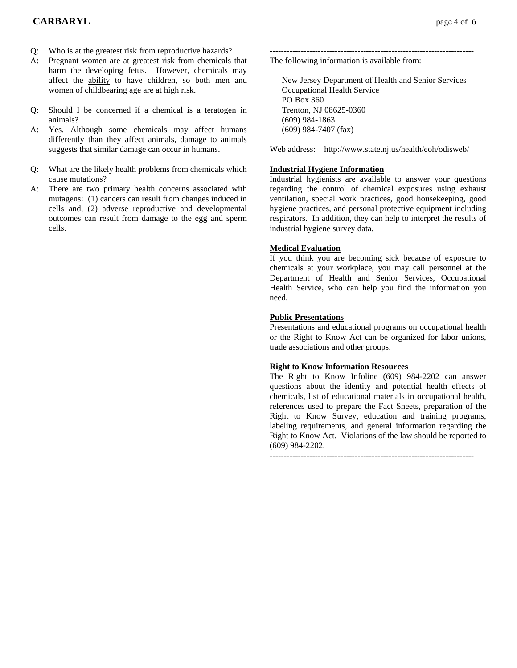- Q: Who is at the greatest risk from reproductive hazards?
- A: Pregnant women are at greatest risk from chemicals that harm the developing fetus. However, chemicals may affect the ability to have children, so both men and women of childbearing age are at high risk.
- Q: Should I be concerned if a chemical is a teratogen in animals?
- A: Yes. Although some chemicals may affect humans differently than they affect animals, damage to animals suggests that similar damage can occur in humans.
- Q: What are the likely health problems from chemicals which cause mutations?
- A: There are two primary health concerns associated with mutagens: (1) cancers can result from changes induced in cells and, (2) adverse reproductive and developmental outcomes can result from damage to the egg and sperm cells.

------------------------------------------------------------------------ The following information is available from:

 New Jersey Department of Health and Senior Services Occupational Health Service PO Box 360 Trenton, NJ 08625-0360 (609) 984-1863 (609) 984-7407 (fax)

Web address: http://www.state.nj.us/health/eoh/odisweb/

## **Industrial Hygiene Information**

Industrial hygienists are available to answer your questions regarding the control of chemical exposures using exhaust ventilation, special work practices, good housekeeping, good hygiene practices, and personal protective equipment including respirators. In addition, they can help to interpret the results of industrial hygiene survey data.

#### **Medical Evaluation**

If you think you are becoming sick because of exposure to chemicals at your workplace, you may call personnel at the Department of Health and Senior Services, Occupational Health Service, who can help you find the information you need.

#### **Public Presentations**

Presentations and educational programs on occupational health or the Right to Know Act can be organized for labor unions, trade associations and other groups.

#### **Right to Know Information Resources**

The Right to Know Infoline (609) 984-2202 can answer questions about the identity and potential health effects of chemicals, list of educational materials in occupational health, references used to prepare the Fact Sheets, preparation of the Right to Know Survey, education and training programs, labeling requirements, and general information regarding the Right to Know Act. Violations of the law should be reported to (609) 984-2202.

 $-$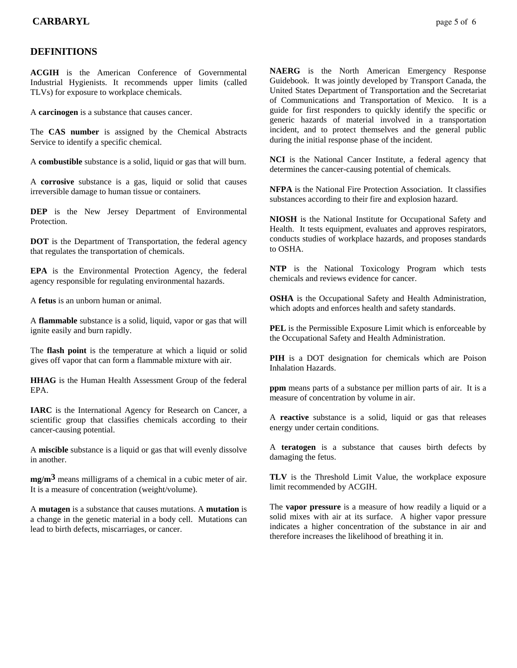## **DEFINITIONS**

**ACGIH** is the American Conference of Governmental Industrial Hygienists. It recommends upper limits (called TLVs) for exposure to workplace chemicals.

A **carcinogen** is a substance that causes cancer.

The **CAS number** is assigned by the Chemical Abstracts Service to identify a specific chemical.

A **combustible** substance is a solid, liquid or gas that will burn.

A **corrosive** substance is a gas, liquid or solid that causes irreversible damage to human tissue or containers.

**DEP** is the New Jersey Department of Environmental **Protection** 

**DOT** is the Department of Transportation, the federal agency that regulates the transportation of chemicals.

**EPA** is the Environmental Protection Agency, the federal agency responsible for regulating environmental hazards.

A **fetus** is an unborn human or animal.

A **flammable** substance is a solid, liquid, vapor or gas that will ignite easily and burn rapidly.

The **flash point** is the temperature at which a liquid or solid gives off vapor that can form a flammable mixture with air.

**HHAG** is the Human Health Assessment Group of the federal EPA.

**IARC** is the International Agency for Research on Cancer, a scientific group that classifies chemicals according to their cancer-causing potential.

A **miscible** substance is a liquid or gas that will evenly dissolve in another.

**mg/m3** means milligrams of a chemical in a cubic meter of air. It is a measure of concentration (weight/volume).

A **mutagen** is a substance that causes mutations. A **mutation** is a change in the genetic material in a body cell. Mutations can lead to birth defects, miscarriages, or cancer.

**NAERG** is the North American Emergency Response Guidebook. It was jointly developed by Transport Canada, the United States Department of Transportation and the Secretariat of Communications and Transportation of Mexico. It is a guide for first responders to quickly identify the specific or generic hazards of material involved in a transportation incident, and to protect themselves and the general public during the initial response phase of the incident.

**NCI** is the National Cancer Institute, a federal agency that determines the cancer-causing potential of chemicals.

**NFPA** is the National Fire Protection Association. It classifies substances according to their fire and explosion hazard.

**NIOSH** is the National Institute for Occupational Safety and Health. It tests equipment, evaluates and approves respirators, conducts studies of workplace hazards, and proposes standards to OSHA.

**NTP** is the National Toxicology Program which tests chemicals and reviews evidence for cancer.

**OSHA** is the Occupational Safety and Health Administration, which adopts and enforces health and safety standards.

**PEL** is the Permissible Exposure Limit which is enforceable by the Occupational Safety and Health Administration.

**PIH** is a DOT designation for chemicals which are Poison Inhalation Hazards.

**ppm** means parts of a substance per million parts of air. It is a measure of concentration by volume in air.

A **reactive** substance is a solid, liquid or gas that releases energy under certain conditions.

A **teratogen** is a substance that causes birth defects by damaging the fetus.

**TLV** is the Threshold Limit Value, the workplace exposure limit recommended by ACGIH.

The **vapor pressure** is a measure of how readily a liquid or a solid mixes with air at its surface. A higher vapor pressure indicates a higher concentration of the substance in air and therefore increases the likelihood of breathing it in.